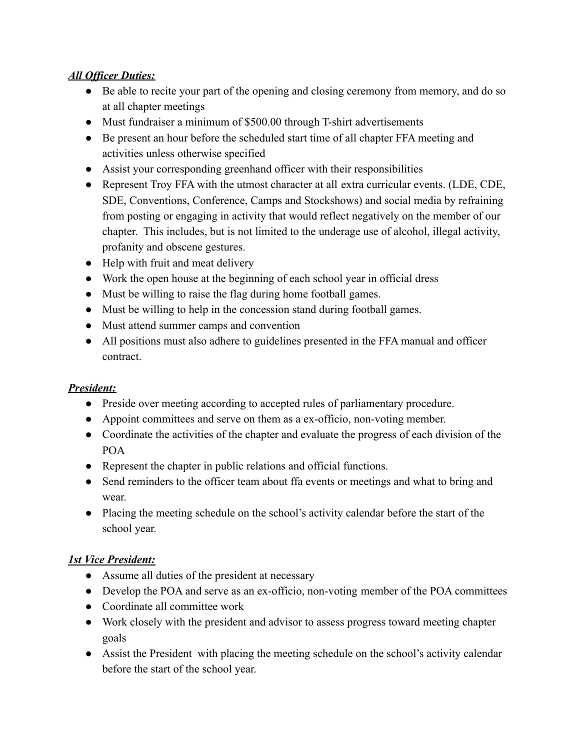## *All Officer Duties:*

- Be able to recite your part of the opening and closing ceremony from memory, and do so at all chapter meetings
- Must fundraiser a minimum of \$500.00 through T-shirt advertisements
- Be present an hour before the scheduled start time of all chapter FFA meeting and activities unless otherwise specified
- Assist your corresponding greenhand officer with their responsibilities
- Represent Troy FFA with the utmost character at all extra curricular events. (LDE, CDE, SDE, Conventions, Conference, Camps and Stockshows) and social media by refraining from posting or engaging in activity that would reflect negatively on the member of our chapter. This includes, but is not limited to the underage use of alcohol, illegal activity, profanity and obscene gestures.
- Help with fruit and meat delivery
- Work the open house at the beginning of each school year in official dress
- Must be willing to raise the flag during home football games.
- Must be willing to help in the concession stand during football games.
- Must attend summer camps and convention
- All positions must also adhere to guidelines presented in the FFA manual and officer contract.

## *President:*

- Preside over meeting according to accepted rules of parliamentary procedure.
- Appoint committees and serve on them as a ex-officio, non-voting member.
- Coordinate the activities of the chapter and evaluate the progress of each division of the POA
- Represent the chapter in public relations and official functions.
- Send reminders to the officer team about ffa events or meetings and what to bring and wear.
- Placing the meeting schedule on the school's activity calendar before the start of the school year.

# *1st Vice President:*

- Assume all duties of the president at necessary
- Develop the POA and serve as an ex-officio, non-voting member of the POA committees
- Coordinate all committee work
- Work closely with the president and advisor to assess progress toward meeting chapter goals
- Assist the President with placing the meeting schedule on the school's activity calendar before the start of the school year.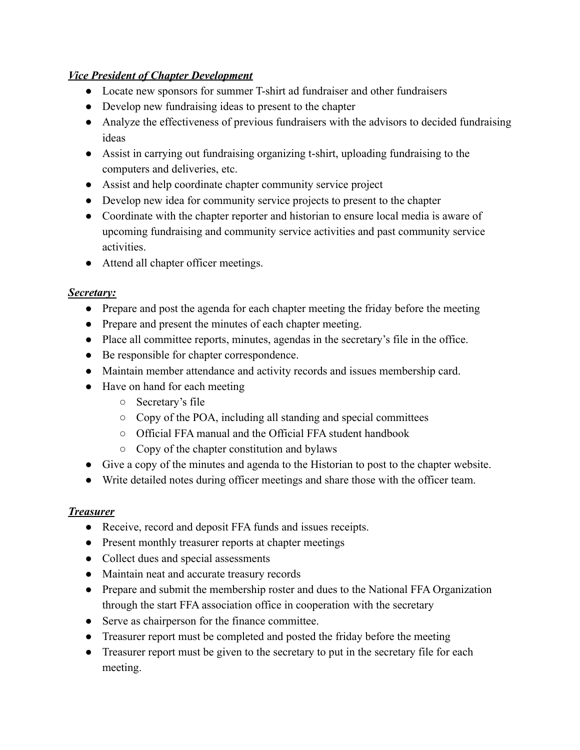## *Vice President of Chapter Development*

- Locate new sponsors for summer T-shirt ad fundraiser and other fundraisers
- Develop new fundraising ideas to present to the chapter
- Analyze the effectiveness of previous fundraisers with the advisors to decided fundraising ideas
- Assist in carrying out fundraising organizing t-shirt, uploading fundraising to the computers and deliveries, etc.
- Assist and help coordinate chapter community service project
- Develop new idea for community service projects to present to the chapter
- Coordinate with the chapter reporter and historian to ensure local media is aware of upcoming fundraising and community service activities and past community service activities.
- Attend all chapter officer meetings.

## *Secretary:*

- Prepare and post the agenda for each chapter meeting the friday before the meeting
- Prepare and present the minutes of each chapter meeting.
- Place all committee reports, minutes, agendas in the secretary's file in the office.
- Be responsible for chapter correspondence.
- Maintain member attendance and activity records and issues membership card.
- Have on hand for each meeting
	- Secretary's file
	- Copy of the POA, including all standing and special committees
	- Official FFA manual and the Official FFA student handbook
	- Copy of the chapter constitution and bylaws
- Give a copy of the minutes and agenda to the Historian to post to the chapter website.
- Write detailed notes during officer meetings and share those with the officer team.

# *Treasurer*

- Receive, record and deposit FFA funds and issues receipts.
- Present monthly treasurer reports at chapter meetings
- Collect dues and special assessments
- Maintain neat and accurate treasury records
- Prepare and submit the membership roster and dues to the National FFA Organization through the start FFA association office in cooperation with the secretary
- Serve as chairperson for the finance committee.
- Treasurer report must be completed and posted the friday before the meeting
- Treasurer report must be given to the secretary to put in the secretary file for each meeting.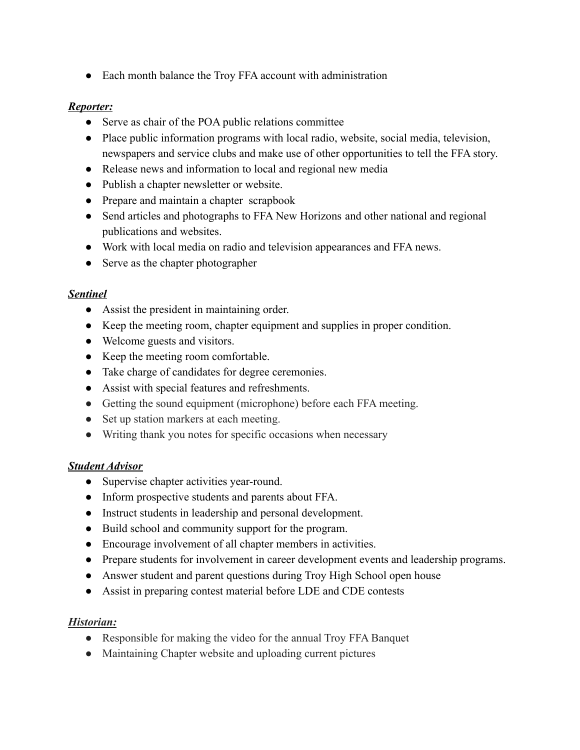• Each month balance the Troy FFA account with administration

#### *Reporter:*

- Serve as chair of the POA public relations committee
- Place public information programs with local radio, website, social media, television, newspapers and service clubs and make use of other opportunities to tell the FFA story.
- Release news and information to local and regional new media
- Publish a chapter newsletter or website.
- Prepare and maintain a chapter scrapbook
- Send articles and photographs to FFA New Horizons and other national and regional publications and websites.
- Work with local media on radio and television appearances and FFA news.
- Serve as the chapter photographer

## *Sentinel*

- Assist the president in maintaining order.
- Keep the meeting room, chapter equipment and supplies in proper condition.
- Welcome guests and visitors.
- Keep the meeting room comfortable.
- Take charge of candidates for degree ceremonies.
- Assist with special features and refreshments.
- Getting the sound equipment (microphone) before each FFA meeting.
- Set up station markers at each meeting.
- Writing thank you notes for specific occasions when necessary

## *Student Advisor*

- Supervise chapter activities year-round.
- Inform prospective students and parents about FFA.
- Instruct students in leadership and personal development.
- Build school and community support for the program.
- Encourage involvement of all chapter members in activities.
- Prepare students for involvement in career development events and leadership programs.
- Answer student and parent questions during Troy High School open house
- Assist in preparing contest material before LDE and CDE contests

## *Historian:*

- Responsible for making the video for the annual Troy FFA Banquet
- Maintaining Chapter website and uploading current pictures